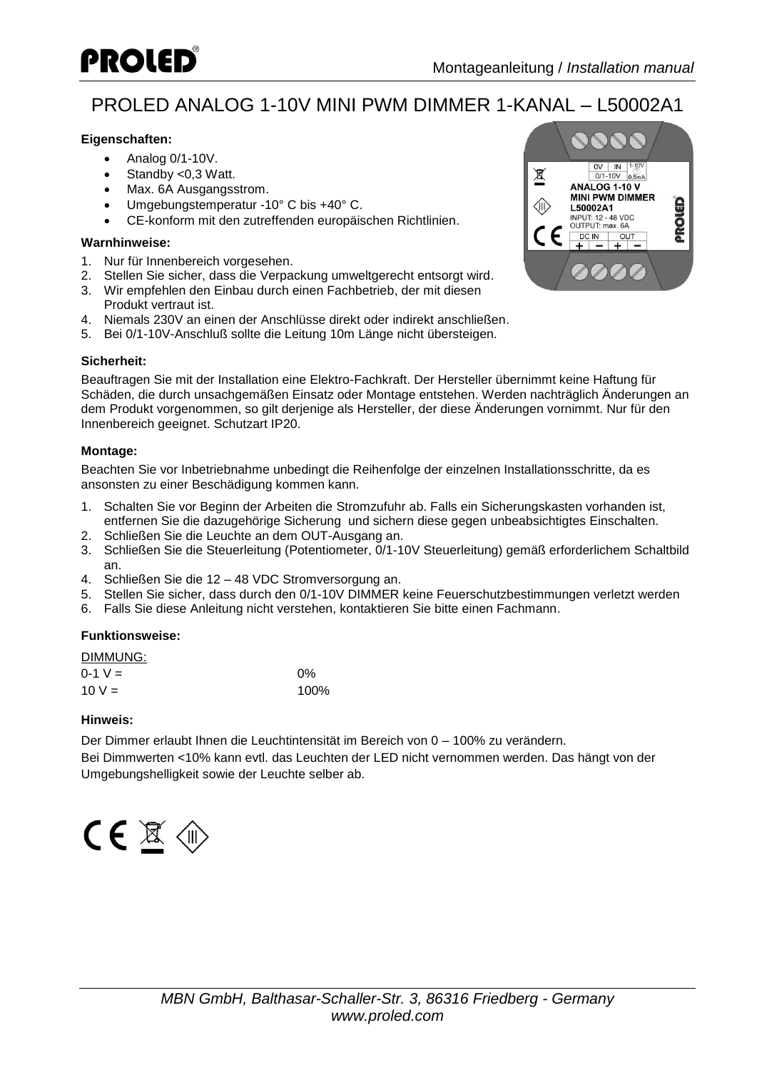

# PROLED ANALOG 1-10V MINI PWM DIMMER 1-KANAL – L50002A1

### **Eigenschaften:**

- Analog 0/1-10V.
- Standby <0,3 Watt.
- Max. 6A Ausgangsstrom.
- Umgebungstemperatur -10° C bis +40° C.
- CE-konform mit den zutreffenden europäischen Richtlinien.

#### **Warnhinweise:**

- 1. Nur für Innenbereich vorgesehen.
- 2. Stellen Sie sicher, dass die Verpackung umweltgerecht entsorgt wird.
- 3. Wir empfehlen den Einbau durch einen Fachbetrieb, der mit diesen Produkt vertraut ist.
- 4. Niemals 230V an einen der Anschlüsse direkt oder indirekt anschließen.
- 5. Bei 0/1-10V-Anschluß sollte die Leitung 10m Länge nicht übersteigen.

### **Sicherheit:**

Beauftragen Sie mit der Installation eine Elektro-Fachkraft. Der Hersteller übernimmt keine Haftung für Schäden, die durch unsachgemäßen Einsatz oder Montage entstehen. Werden nachträglich Änderungen an dem Produkt vorgenommen, so gilt derjenige als Hersteller, der diese Änderungen vornimmt. Nur für den Innenbereich geeignet. Schutzart IP20.

### **Montage:**

Beachten Sie vor Inbetriebnahme unbedingt die Reihenfolge der einzelnen Installationsschritte, da es ansonsten zu einer Beschädigung kommen kann.

- 1. Schalten Sie vor Beginn der Arbeiten die Stromzufuhr ab. Falls ein Sicherungskasten vorhanden ist, entfernen Sie die dazugehörige Sicherung und sichern diese gegen unbeabsichtigtes Einschalten.
- 2. Schließen Sie die Leuchte an dem OUT-Ausgang an.
- 3. Schließen Sie die Steuerleitung (Potentiometer, 0/1-10V Steuerleitung) gemäß erforderlichem Schaltbild an.
- 4. Schließen Sie die 12 48 VDC Stromversorgung an.
- 5. Stellen Sie sicher, dass durch den 0/1-10V DIMMER keine Feuerschutzbestimmungen verletzt werden
- 6. Falls Sie diese Anleitung nicht verstehen, kontaktieren Sie bitte einen Fachmann.

### **Funktionsweise:**

| DIMMUNG:    |       |
|-------------|-------|
| $0 - 1$ V = | $0\%$ |
| $10 V =$    | 100%  |

### **Hinweis:**

Der Dimmer erlaubt Ihnen die Leuchtintensität im Bereich von 0 – 100% zu verändern.

Bei Dimmwerten <10% kann evtl. das Leuchten der LED nicht vernommen werden. Das hängt von der Umgebungshelligkeit sowie der Leuchte selber ab.



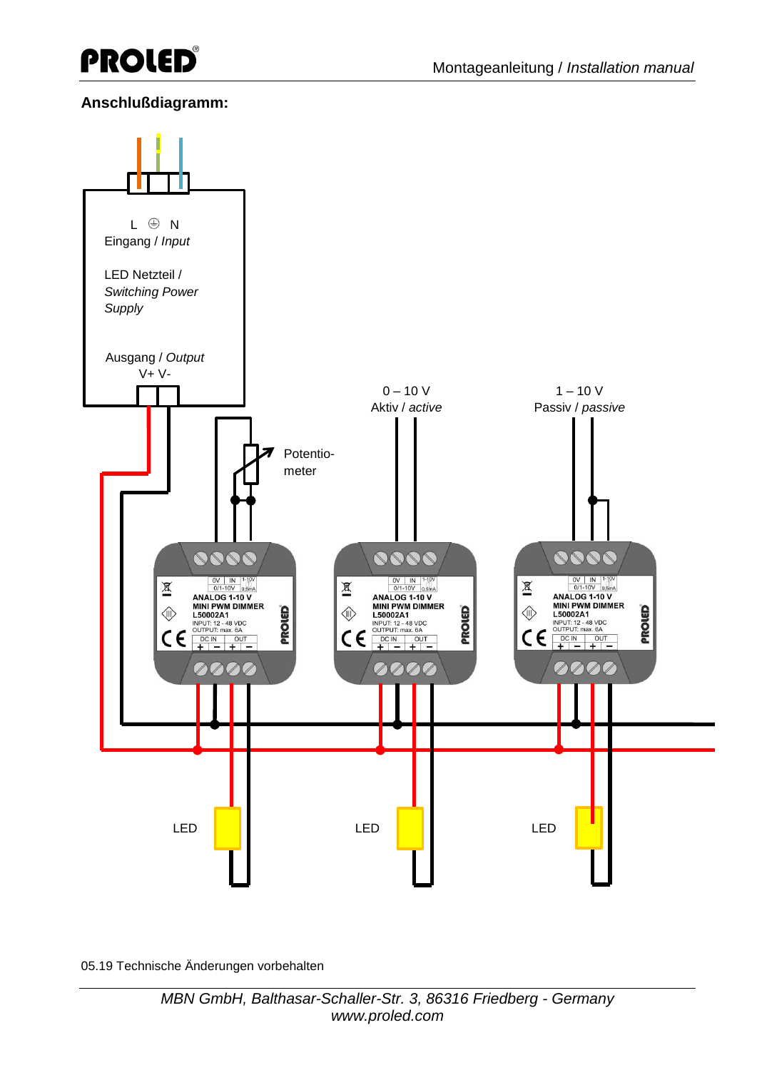

## **Anschlußdiagramm:**



05.19 Technische Änderungen vorbehalten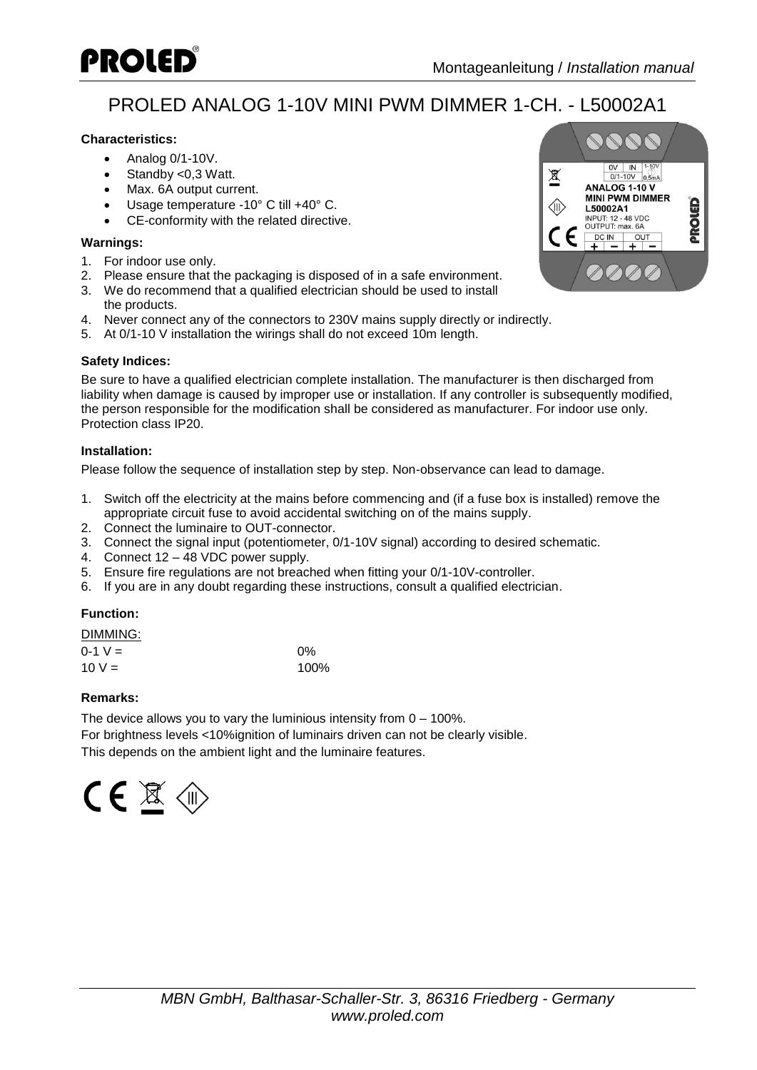

# PROLED ANALOG 1-10V MINI PWM DIMMER 1-CH. - L50002A1

### **Characteristics:**

- $\bullet$  Analog 0/1-10V.
- Standby <0,3 Watt.
- Max. 6A output current.
- Usage temperature -10° C till +40° C.
- CE-conformity with the related directive.

### **Warnings:**

- 1. For indoor use only.
- 2. Please ensure that the packaging is disposed of in a safe environment.
- 3. We do recommend that a qualified electrician should be used to install the products.
- 4. Never connect any of the connectors to 230V mains supply directly or indirectly.
- 5. At 0/1-10 V installation the wirings shall do not exceed 10m length.

### **Safety Indices:**

Be sure to have a qualified electrician complete installation. The manufacturer is then discharged from liability when damage is caused by improper use or installation. If any controller is subsequently modified, the person responsible for the modification shall be considered as manufacturer. For indoor use only. Protection class IP20.

### **Installation:**

Please follow the sequence of installation step by step. Non-observance can lead to damage.

- 1. Switch off the electricity at the mains before commencing and (if a fuse box is installed) remove the appropriate circuit fuse to avoid accidental switching on of the mains supply.
- 2. Connect the luminaire to OUT-connector.
- 3. Connect the signal input (potentiometer, 0/1-10V signal) according to desired schematic.
- 4. Connect 12 48 VDC power supply.
- 5. Ensure fire regulations are not breached when fitting your 0/1-10V-controller.
- 6. If you are in any doubt regarding these instructions, consult a qualified electrician.

### **Function:**

| DIMMING:    |       |
|-------------|-------|
| $0 - 1$ V = | $0\%$ |
| $10 V =$    | 100%  |

### **Remarks:**

The device allows you to vary the luminious intensity from 0 – 100%. For brightness levels <10%ignition of luminairs driven can not be clearly visible. This depends on the ambient light and the luminaire features.

$$
\mathsf{CE} \not\cong \mathsf{C}
$$